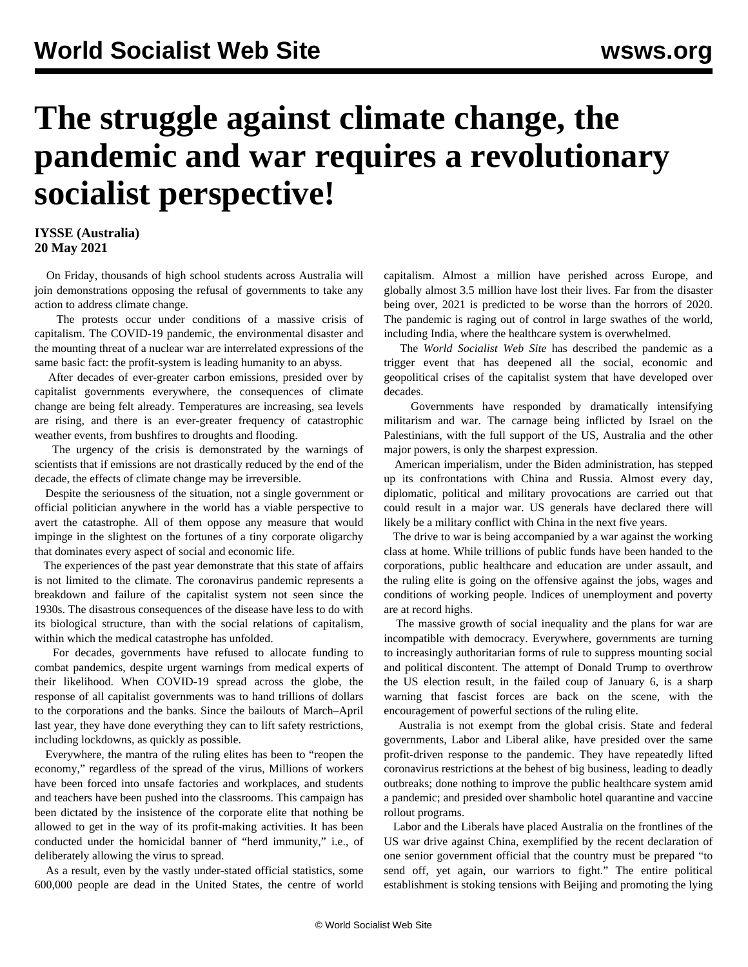## **The struggle against climate change, the pandemic and war requires a revolutionary socialist perspective!**

## **IYSSE (Australia) 20 May 2021**

 On Friday, thousands of high school students across Australia will join demonstrations opposing the refusal of governments to take any action to address climate change.

 The protests occur under conditions of a massive crisis of capitalism. The COVID-19 pandemic, the environmental disaster and the mounting threat of a nuclear war are interrelated expressions of the same basic fact: the profit-system is leading humanity to an abyss.

 After decades of ever-greater carbon emissions, presided over by capitalist governments everywhere, the consequences of climate change are being felt already. Temperatures are increasing, sea levels are rising, and there is an ever-greater frequency of catastrophic weather events, from bushfires to droughts and flooding.

 The urgency of the crisis is demonstrated by the warnings of scientists that if emissions are not drastically reduced by the end of the decade, the effects of climate change may be irreversible.

 Despite the seriousness of the situation, not a single government or official politician anywhere in the world has a viable perspective to avert the catastrophe. All of them oppose any measure that would impinge in the slightest on the fortunes of a tiny corporate oligarchy that dominates every aspect of social and economic life.

 The experiences of the past year demonstrate that this state of affairs is not limited to the climate. The coronavirus pandemic represents a breakdown and failure of the capitalist system not seen since the 1930s. The disastrous consequences of the disease have less to do with its biological structure, than with the social relations of capitalism, within which the medical catastrophe has unfolded.

 For decades, governments have refused to allocate funding to combat pandemics, despite urgent warnings from medical experts of their likelihood. When COVID-19 spread across the globe, the response of all capitalist governments was to hand trillions of dollars to the corporations and the banks. Since the bailouts of March–April last year, they have done everything they can to lift safety restrictions, including lockdowns, as quickly as possible.

 Everywhere, the mantra of the ruling elites has been to "reopen the economy," regardless of the spread of the virus, Millions of workers have been forced into unsafe factories and workplaces, and students and teachers have been pushed into the classrooms. This campaign has been dictated by the insistence of the corporate elite that nothing be allowed to get in the way of its profit-making activities. It has been conducted under the homicidal banner of "herd immunity," i.e., of deliberately allowing the virus to spread.

 As a result, even by the vastly under-stated official statistics, some 600,000 people are dead in the United States, the centre of world

capitalism. Almost a million have perished across Europe, and globally almost 3.5 million have lost their lives. Far from the disaster being over, 2021 is predicted to be worse than the horrors of 2020. The pandemic is raging out of control in large swathes of the world, including India, where the healthcare system is overwhelmed.

 The *World Socialist Web Site* has described the pandemic as a trigger event that has deepened all the social, economic and geopolitical crises of the capitalist system that have developed over decades.

 Governments have responded by dramatically intensifying militarism and war. The carnage being inflicted by Israel on the Palestinians, with the full support of the US, Australia and the other major powers, is only the sharpest expression.

 American imperialism, under the Biden administration, has stepped up its confrontations with China and Russia. Almost every day, diplomatic, political and military provocations are carried out that could result in a major war. US generals have declared there will likely be a military conflict with China in the next five years.

 The drive to war is being accompanied by a war against the working class at home. While trillions of public funds have been handed to the corporations, public healthcare and education are under assault, and the ruling elite is going on the offensive against the jobs, wages and conditions of working people. Indices of unemployment and poverty are at record highs.

 The massive growth of social inequality and the plans for war are incompatible with democracy. Everywhere, governments are turning to increasingly authoritarian forms of rule to suppress mounting social and political discontent. The attempt of Donald Trump to overthrow the US election result, in the failed coup of January 6, is a sharp warning that fascist forces are back on the scene, with the encouragement of powerful sections of the ruling elite.

 Australia is not exempt from the global crisis. State and federal governments, Labor and Liberal alike, have presided over the same profit-driven response to the pandemic. They have repeatedly lifted coronavirus restrictions at the behest of big business, leading to deadly outbreaks; done nothing to improve the public healthcare system amid a pandemic; and presided over shambolic hotel quarantine and vaccine rollout programs.

 Labor and the Liberals have placed Australia on the frontlines of the US war drive against China, exemplified by the recent declaration of one senior government official that the country must be prepared "to send off, yet again, our warriors to fight." The entire political establishment is stoking tensions with Beijing and promoting the lying